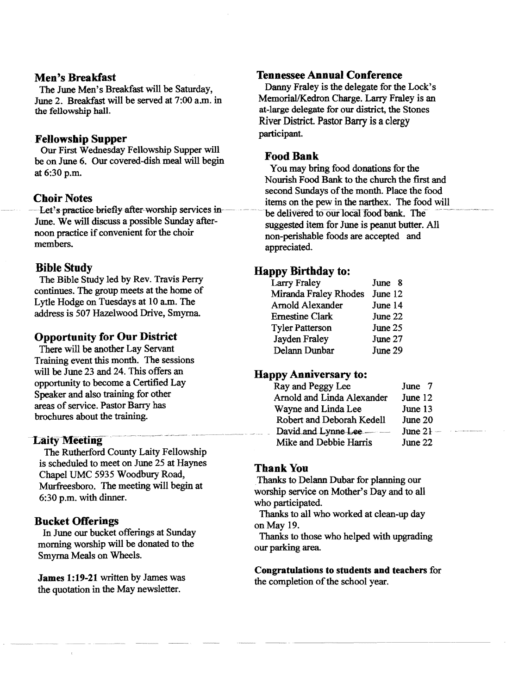# Men's Breakfast

The June Men's Breakfast will be Saturday, June 2. Breakfast will be served at 7:00 a.m. in the fellowship hall.

## Fellowship Supper

Our First Wednesday Fellowship Supper will be on June 6. Our covered-dish meal will begin at 6:30 p.m.

#### Choir Notes

Let's practice briefly after-worship services in-June. We will discuss a possible Sunday afternoon practice if convenient for the choir members.

## Bible Study

The Bible Study led by Rev. Travis Perry continues. The group meets at the home of Lytle Hodge on Tuesdays at 10 a.m. The address is 507 Hazelwood Drive, Smyrna

# Opportunity for Our District

There will be another Lay Servant Training event this month. The sessions will be June 23 and 24. This offers an opportunity to become a Certified Lay Speaker and also training for other areas of service. Pastor Barry has brochures about the training.

# **Laity Meeting**

The Rutherford County Laity Fellowship is scheduled to meet on June 25 at Haynes Chapel UMC 5935 Woodbury Road, Murfreesboro. The meeting will begin at 6:30 p.m. with dinner.

## Bucket Offerings

In June our bucket offerings at Sunday morning worship will be donated to the Smyrna Meals on Wheels.

James 1:19-21 written by James was the quotation in the May newsletter.

#### Tennessee Annual Conference

Danny Fraley is the delegate for the Lock's Memorial/Kedron Charge. Larry Fraley is an at-large delegate for our district. the Stones River District. Pastor Barry is a clergy participant.

## Food Bank

You may bring food donations for the Nourish Food Bank to the church the first and second Sundays of the month. Place the food items on the pew in the narthex. The food will be delivered to our local food bank. The suggested item for June is peanut butter. All non-perishable foods are accepted and appreciated.

# Happy Birthday to:

| <b>Larry Fraley</b>    | June 8  |
|------------------------|---------|
| Miranda Fraley Rhodes  | June 12 |
| Arnold Alexander       | June 14 |
| <b>Ernestine Clark</b> | June 22 |
| <b>Tyler Patterson</b> | June 25 |
| Jayden Fraley          | June 27 |
| Delann Dunbar          | June 29 |

### Happy Anniversary to:

| Ray and Peggy Lee          | June 7      |
|----------------------------|-------------|
| Arnold and Linda Alexander | June 12     |
| Wayne and Linda Lee        | June 13     |
| Robert and Deborah Kedell  | June 20     |
| David and Lynne Lee        | June $21 -$ |
| Mike and Debbie Harris     | June 22     |

# Thank You

Thanks to Delann Dubar for planning our worship service on Mother's Day and to all who participated.

Thanks to all who worked at clean-up day on May 19.

Thanks to those who helped with upgrading our parking area

Congratulations to students and teachers for the completion of the school year.